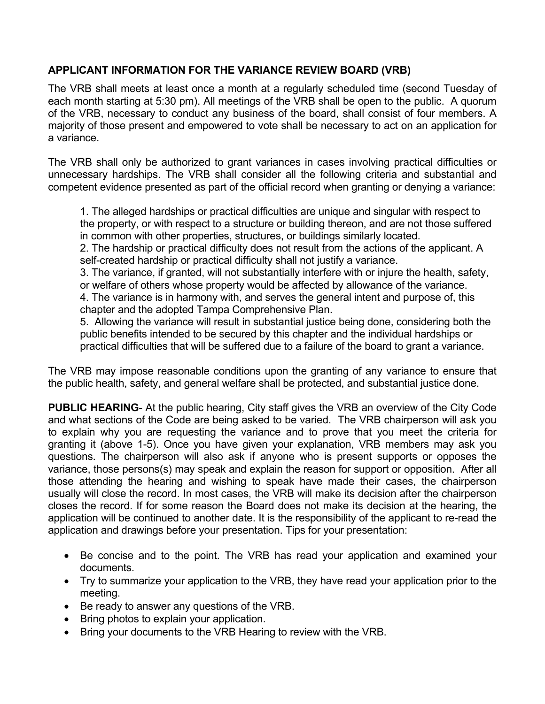## **APPLICANT INFORMATION FOR THE VARIANCE REVIEW BOARD (VRB)**

The VRB shall meets at least once a month at a regularly scheduled time (second Tuesday of each month starting at 5:30 pm). All meetings of the VRB shall be open to the public. A quorum of the VRB, necessary to conduct any business of the board, shall consist of four members. A majority of those present and empowered to vote shall be necessary to act on an application for a variance.

The VRB shall only be authorized to grant variances in cases involving practical difficulties or unnecessary hardships. The VRB shall consider all the following criteria and substantial and competent evidence presented as part of the official record when granting or denying a variance:

1. The alleged hardships or practical difficulties are unique and singular with respect to the property, or with respect to a structure or building thereon, and are not those suffered in common with other properties, structures, or buildings similarly located.

2. The hardship or practical difficulty does not result from the actions of the applicant. A self-created hardship or practical difficulty shall not justify a variance.

3. The variance, if granted, will not substantially interfere with or injure the health, safety, or welfare of others whose property would be affected by allowance of the variance.

4. The variance is in harmony with, and serves the general intent and purpose of, this chapter and the adopted Tampa Comprehensive Plan.

5. Allowing the variance will result in substantial justice being done, considering both the public benefits intended to be secured by this chapter and the individual hardships or practical difficulties that will be suffered due to a failure of the board to grant a variance.

The VRB may impose reasonable conditions upon the granting of any variance to ensure that the public health, safety, and general welfare shall be protected, and substantial justice done.

**PUBLIC HEARING-** At the public hearing, City staff gives the VRB an overview of the City Code and what sections of the Code are being asked to be varied. The VRB chairperson will ask you to explain why you are requesting the variance and to prove that you meet the criteria for granting it (above 1-5). Once you have given your explanation, VRB members may ask you questions. The chairperson will also ask if anyone who is present supports or opposes the variance, those persons(s) may speak and explain the reason for support or opposition. After all those attending the hearing and wishing to speak have made their cases, the chairperson usually will close the record. In most cases, the VRB will make its decision after the chairperson closes the record. If for some reason the Board does not make its decision at the hearing, the application will be continued to another date. It is the responsibility of the applicant to re-read the application and drawings before your presentation. Tips for your presentation:

- Be concise and to the point. The VRB has read your application and examined your documents.
- Try to summarize your application to the VRB, they have read your application prior to the meeting.
- Be ready to answer any questions of the VRB.
- Bring photos to explain your application.
- Bring your documents to the VRB Hearing to review with the VRB.